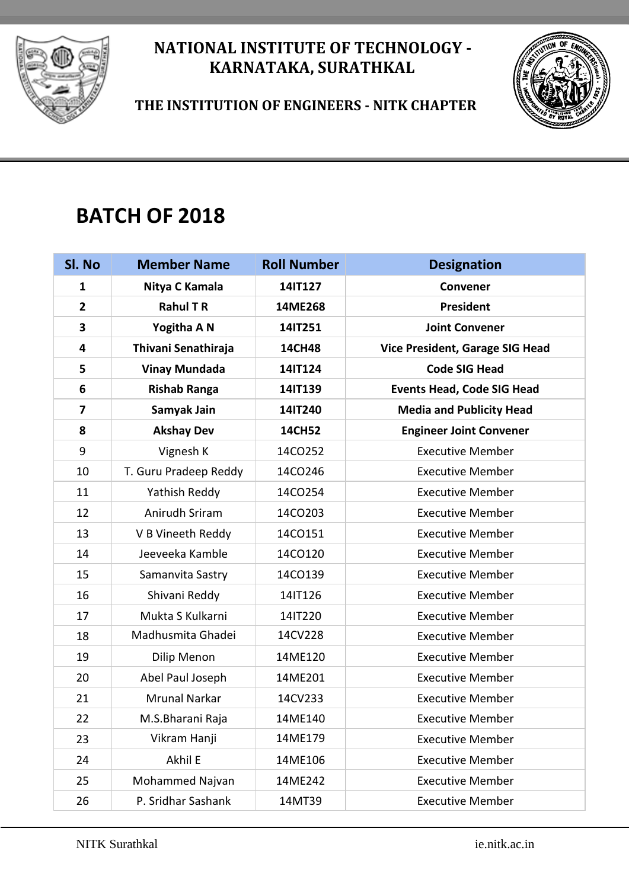



 **THE INSTITUTION OF ENGINEERS - NITK CHAPTER**

# **BATCH OF 2018**

| Sl. No                  | <b>Member Name</b>    | <b>Roll Number</b> | <b>Designation</b>                |
|-------------------------|-----------------------|--------------------|-----------------------------------|
| 1                       | Nitya C Kamala        | 14IT127            | <b>Convener</b>                   |
| $\overline{2}$          | <b>Rahul T R</b>      | 14ME268            | President                         |
| 3                       | Yogitha A N           | 14IT251            | <b>Joint Convener</b>             |
| 4                       | Thivani Senathiraja   | <b>14CH48</b>      | Vice President, Garage SIG Head   |
| 5                       | <b>Vinay Mundada</b>  | 14IT124            | <b>Code SIG Head</b>              |
| 6                       | <b>Rishab Ranga</b>   | 14IT139            | <b>Events Head, Code SIG Head</b> |
| $\overline{\mathbf{z}}$ | Samyak Jain           | 14IT240            | <b>Media and Publicity Head</b>   |
| 8                       | <b>Akshay Dev</b>     | <b>14CH52</b>      | <b>Engineer Joint Convener</b>    |
| 9                       | Vignesh K             | 14CO252            | <b>Executive Member</b>           |
| 10                      | T. Guru Pradeep Reddy | 14CO246            | <b>Executive Member</b>           |
| 11                      | Yathish Reddy         | 14CO254            | <b>Executive Member</b>           |
| 12                      | Anirudh Sriram        | 14CO203            | <b>Executive Member</b>           |
| 13                      | V B Vineeth Reddy     | 14CO151            | <b>Executive Member</b>           |
| 14                      | Jeeveeka Kamble       | 14CO120            | <b>Executive Member</b>           |
| 15                      | Samanvita Sastry      | 14CO139            | <b>Executive Member</b>           |
| 16                      | Shivani Reddy         | 14IT126            | <b>Executive Member</b>           |
| 17                      | Mukta S Kulkarni      | 14IT220            | <b>Executive Member</b>           |
| 18                      | Madhusmita Ghadei     | 14CV228            | <b>Executive Member</b>           |
| 19                      | Dilip Menon           | 14ME120            | <b>Executive Member</b>           |
| 20                      | Abel Paul Joseph      | 14ME201            | <b>Executive Member</b>           |
| 21                      | <b>Mrunal Narkar</b>  | 14CV233            | <b>Executive Member</b>           |
| 22                      | M.S.Bharani Raja      | 14ME140            | <b>Executive Member</b>           |
| 23                      | Vikram Hanji          | 14ME179            | <b>Executive Member</b>           |
| 24                      | Akhil E               | 14ME106            | <b>Executive Member</b>           |
| 25                      | Mohammed Najvan       | 14ME242            | <b>Executive Member</b>           |
| 26                      | P. Sridhar Sashank    | 14MT39             | <b>Executive Member</b>           |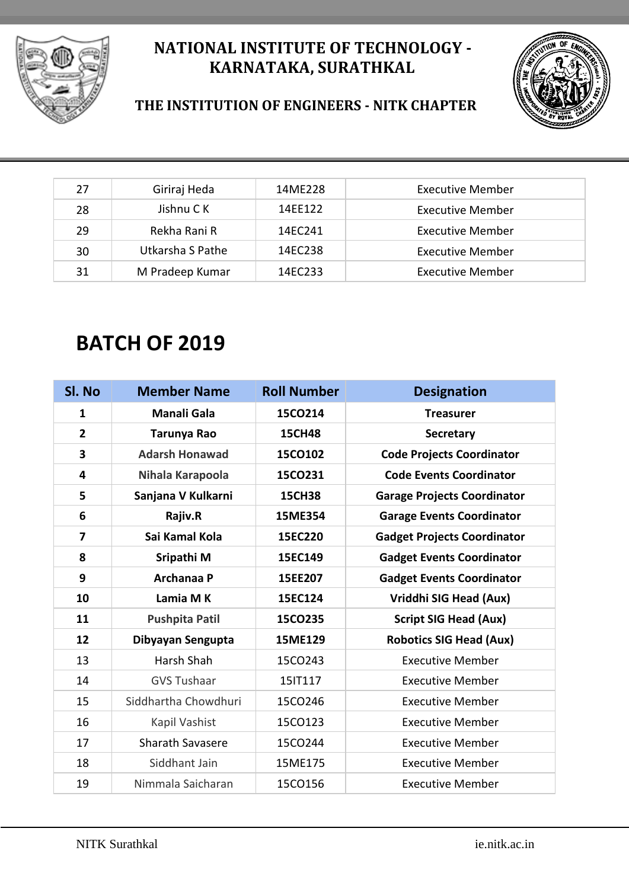



#### **THE INSTITUTION OF ENGINEERS - NITK CHAPTER**

| 27 | Giriraj Heda     | 14ME228 | <b>Executive Member</b> |
|----|------------------|---------|-------------------------|
| 28 | Jishnu C K       | 14FF122 | <b>Executive Member</b> |
| 29 | Rekha Rani R     | 14FC241 | Executive Member        |
| 30 | Utkarsha S Pathe | 14EC238 | Executive Member        |
| 31 | M Pradeep Kumar  | 14EC233 | Executive Member        |

## **BATCH OF 2019**

| Sl. No         | <b>Member Name</b>      | <b>Roll Number</b> | <b>Designation</b>                 |
|----------------|-------------------------|--------------------|------------------------------------|
| $\mathbf{1}$   | <b>Manali Gala</b>      | 15CO214            | <b>Treasurer</b>                   |
| $\overline{2}$ | Tarunya Rao             | <b>15CH48</b>      | <b>Secretary</b>                   |
| 3              | <b>Adarsh Honawad</b>   | 15CO102            | <b>Code Projects Coordinator</b>   |
| 4              | Nihala Karapoola        | 15CO231            | <b>Code Events Coordinator</b>     |
| 5              | Sanjana V Kulkarni      | <b>15CH38</b>      | <b>Garage Projects Coordinator</b> |
| 6              | Rajiv.R                 | 15ME354            | <b>Garage Events Coordinator</b>   |
| 7              | Sai Kamal Kola          | 15EC220            | <b>Gadget Projects Coordinator</b> |
| 8              | Sripathi M              | 15EC149            | <b>Gadget Events Coordinator</b>   |
| 9              | Archanaa P              | 15EE207            | <b>Gadget Events Coordinator</b>   |
| 10             | Lamia M K               | 15EC124            | Vriddhi SIG Head (Aux)             |
| 11             | <b>Pushpita Patil</b>   | 15CO235            | <b>Script SIG Head (Aux)</b>       |
| 12             | Dibyayan Sengupta       | 15ME129            | <b>Robotics SIG Head (Aux)</b>     |
| 13             | Harsh Shah              | 15CO243            | <b>Executive Member</b>            |
| 14             | <b>GVS Tushaar</b>      | 15IT117            | <b>Executive Member</b>            |
| 15             | Siddhartha Chowdhuri    | 15CO246            | <b>Executive Member</b>            |
| 16             | Kapil Vashist           | 15CO123            | <b>Executive Member</b>            |
| 17             | <b>Sharath Savasere</b> | 15CO244            | <b>Executive Member</b>            |
| 18             | Siddhant Jain           | 15ME175            | <b>Executive Member</b>            |
| 19             | Nimmala Saicharan       | 15CO156            | <b>Executive Member</b>            |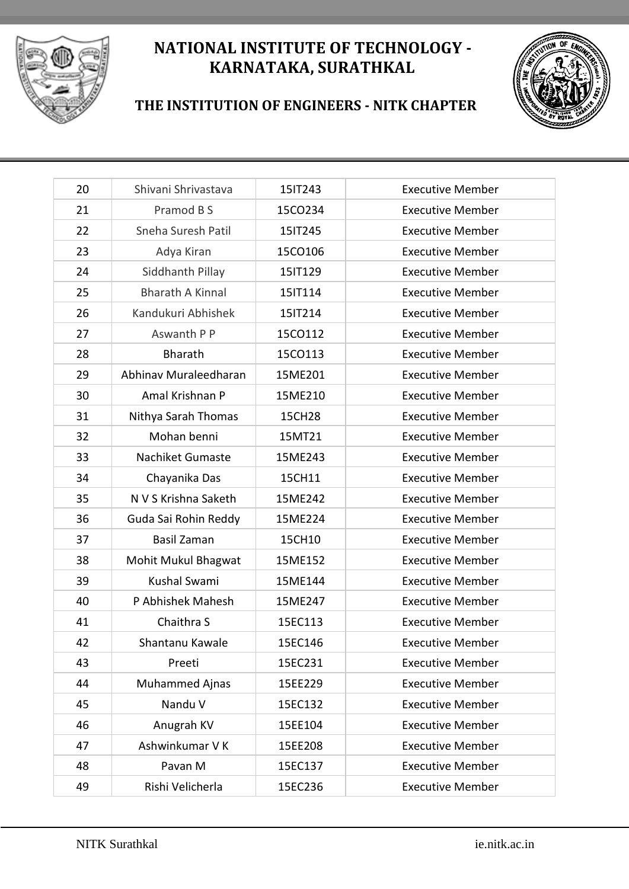



#### **THE INSTITUTION OF ENGINEERS - NITK CHAPTER**

| 20 | Shivani Shrivastava     | 15IT243 | <b>Executive Member</b> |
|----|-------------------------|---------|-------------------------|
| 21 | Pramod B S              | 15CO234 | <b>Executive Member</b> |
| 22 | Sneha Suresh Patil      | 15IT245 | <b>Executive Member</b> |
| 23 | Adya Kiran              | 15CO106 | <b>Executive Member</b> |
| 24 | Siddhanth Pillay        | 15IT129 | <b>Executive Member</b> |
| 25 | <b>Bharath A Kinnal</b> | 15IT114 | <b>Executive Member</b> |
| 26 | Kandukuri Abhishek      | 15IT214 | <b>Executive Member</b> |
| 27 | Aswanth P P             | 15CO112 | <b>Executive Member</b> |
| 28 | Bharath                 | 15CO113 | <b>Executive Member</b> |
| 29 | Abhinav Muraleedharan   | 15ME201 | <b>Executive Member</b> |
| 30 | Amal Krishnan P         | 15ME210 | <b>Executive Member</b> |
| 31 | Nithya Sarah Thomas     | 15CH28  | <b>Executive Member</b> |
| 32 | Mohan benni             | 15MT21  | <b>Executive Member</b> |
| 33 | <b>Nachiket Gumaste</b> | 15ME243 | <b>Executive Member</b> |
| 34 | Chayanika Das           | 15CH11  | <b>Executive Member</b> |
| 35 | N V S Krishna Saketh    | 15ME242 | <b>Executive Member</b> |
| 36 | Guda Sai Rohin Reddy    | 15ME224 | <b>Executive Member</b> |
| 37 | <b>Basil Zaman</b>      | 15CH10  | <b>Executive Member</b> |
| 38 | Mohit Mukul Bhagwat     | 15ME152 | <b>Executive Member</b> |
| 39 | Kushal Swami            | 15ME144 | <b>Executive Member</b> |
| 40 | P Abhishek Mahesh       | 15ME247 | <b>Executive Member</b> |
| 41 | Chaithra S              | 15EC113 | <b>Executive Member</b> |
| 42 | Shantanu Kawale         | 15EC146 | <b>Executive Member</b> |
| 43 | Preeti                  | 15EC231 | <b>Executive Member</b> |
| 44 | <b>Muhammed Ajnas</b>   | 15EE229 | <b>Executive Member</b> |
| 45 | Nandu V                 | 15EC132 | <b>Executive Member</b> |
| 46 | Anugrah KV              | 15EE104 | <b>Executive Member</b> |
| 47 | Ashwinkumar V K         | 15EE208 | <b>Executive Member</b> |
| 48 | Pavan M                 | 15EC137 | <b>Executive Member</b> |
| 49 | Rishi Velicherla        | 15EC236 | <b>Executive Member</b> |
|    |                         |         |                         |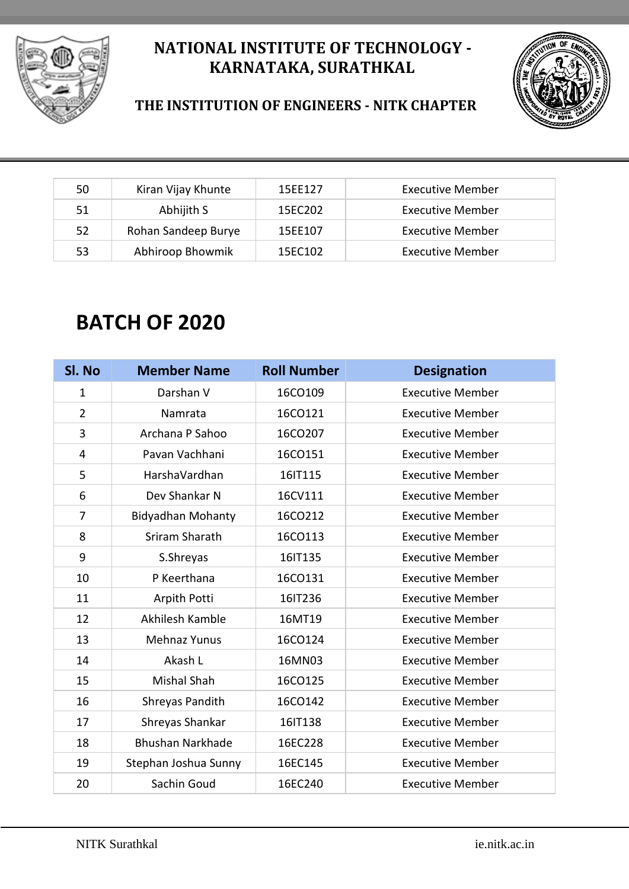



#### **THE INSTITUTION OF ENGINEERS - NITK CHAPTER**

| 50 | Kiran Vijay Khunte  | 15EE127 | Executive Member        |
|----|---------------------|---------|-------------------------|
| 51 | Abhijith S          | 15FC202 | <b>Executive Member</b> |
| 52 | Rohan Sandeep Burye | 15EE107 | <b>Executive Member</b> |
| 53 | Abhiroop Bhowmik    | 15EC102 | <b>Executive Member</b> |

## **BATCH OF 2020**

| Sl. No         | <b>Member Name</b>       | <b>Roll Number</b> | <b>Designation</b>      |
|----------------|--------------------------|--------------------|-------------------------|
| $\mathbf{1}$   | Darshan V                | 16CO109            | <b>Executive Member</b> |
| $\overline{2}$ | Namrata                  | 16CO121            | <b>Executive Member</b> |
| 3              | Archana P Sahoo          | 16CO207            | <b>Executive Member</b> |
| 4              | Pavan Vachhani           | 16CO151            | <b>Executive Member</b> |
| 5              | HarshaVardhan            | 16IT115            | <b>Executive Member</b> |
| 6              | Dev Shankar N            | 16CV111            | <b>Executive Member</b> |
| $\overline{7}$ | <b>Bidyadhan Mohanty</b> | 16CO212            | <b>Executive Member</b> |
| 8              | Sriram Sharath           | 16CO113            | <b>Executive Member</b> |
| 9              | S.Shreyas                | 16IT135            | <b>Executive Member</b> |
| 10             | P Keerthana              | 16CO131            | <b>Executive Member</b> |
| 11             | Arpith Potti             | 16IT236            | <b>Executive Member</b> |
| 12             | Akhilesh Kamble          | 16MT19             | <b>Executive Member</b> |
| 13             | <b>Mehnaz Yunus</b>      | 16CO124            | <b>Executive Member</b> |
| 14             | Akash L                  | 16MN03             | <b>Executive Member</b> |
| 15             | Mishal Shah              | 16CO125            | <b>Executive Member</b> |
| 16             | Shreyas Pandith          | 16CO142            | <b>Executive Member</b> |
| 17             | Shreyas Shankar          | 16IT138            | <b>Executive Member</b> |
| 18             | <b>Bhushan Narkhade</b>  | 16EC228            | <b>Executive Member</b> |
| 19             | Stephan Joshua Sunny     | 16EC145            | <b>Executive Member</b> |
| 20             | Sachin Goud              | 16EC240            | <b>Executive Member</b> |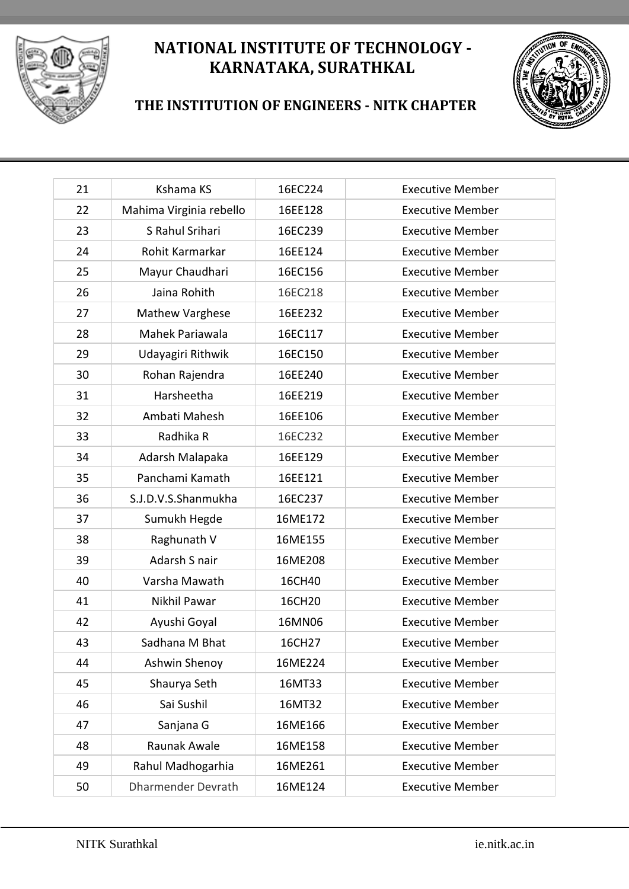



#### **THE INSTITUTION OF ENGINEERS - NITK CHAPTER**

| 21 | Kshama KS                 | 16EC224 | <b>Executive Member</b> |
|----|---------------------------|---------|-------------------------|
| 22 | Mahima Virginia rebello   | 16EE128 | <b>Executive Member</b> |
| 23 | S Rahul Srihari           | 16EC239 | <b>Executive Member</b> |
| 24 | Rohit Karmarkar           | 16EE124 | <b>Executive Member</b> |
| 25 | Mayur Chaudhari           | 16EC156 | <b>Executive Member</b> |
| 26 | Jaina Rohith              | 16EC218 | <b>Executive Member</b> |
| 27 | Mathew Varghese           | 16EE232 | <b>Executive Member</b> |
| 28 | Mahek Pariawala           | 16EC117 | <b>Executive Member</b> |
| 29 | Udayagiri Rithwik         | 16EC150 | <b>Executive Member</b> |
| 30 | Rohan Rajendra            | 16EE240 | <b>Executive Member</b> |
| 31 | Harsheetha                | 16EE219 | <b>Executive Member</b> |
| 32 | Ambati Mahesh             | 16EE106 | <b>Executive Member</b> |
| 33 | Radhika R                 | 16EC232 | <b>Executive Member</b> |
| 34 | Adarsh Malapaka           | 16EE129 | <b>Executive Member</b> |
| 35 | Panchami Kamath           | 16EE121 | <b>Executive Member</b> |
| 36 | S.J.D.V.S.Shanmukha       | 16EC237 | <b>Executive Member</b> |
| 37 | Sumukh Hegde              | 16ME172 | <b>Executive Member</b> |
| 38 | Raghunath V               | 16ME155 | <b>Executive Member</b> |
| 39 | Adarsh S nair             | 16ME208 | <b>Executive Member</b> |
| 40 | Varsha Mawath             | 16CH40  | <b>Executive Member</b> |
| 41 | Nikhil Pawar              | 16CH20  | <b>Executive Member</b> |
| 42 | Ayushi Goyal              | 16MN06  | <b>Executive Member</b> |
| 43 | Sadhana M Bhat            | 16CH27  | <b>Executive Member</b> |
| 44 | Ashwin Shenoy             | 16ME224 | <b>Executive Member</b> |
| 45 | Shaurya Seth              | 16MT33  | <b>Executive Member</b> |
| 46 | Sai Sushil                | 16MT32  | <b>Executive Member</b> |
| 47 | Sanjana G                 | 16ME166 | <b>Executive Member</b> |
| 48 | Raunak Awale              | 16ME158 | <b>Executive Member</b> |
| 49 | Rahul Madhogarhia         | 16ME261 | <b>Executive Member</b> |
| 50 | <b>Dharmender Devrath</b> | 16ME124 | <b>Executive Member</b> |